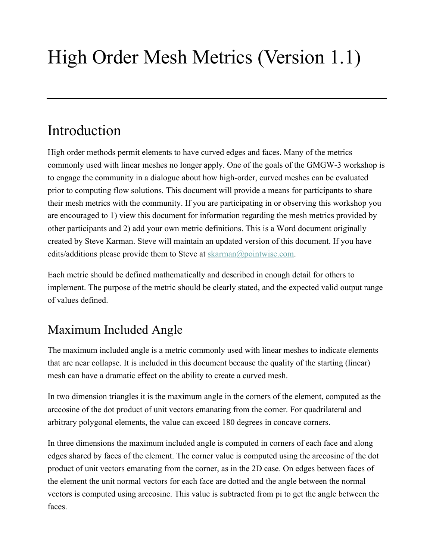# High Order Mesh Metrics (Version 1.1)

## Introduction

High order methods permit elements to have curved edges and faces. Many of the metrics commonly used with linear meshes no longer apply. One of the goals of the GMGW-3 workshop is to engage the community in a dialogue about how high-order, curved meshes can be evaluated prior to computing flow solutions. This document will provide a means for participants to share their mesh metrics with the community. If you are participating in or observing this workshop you are encouraged to 1) view this document for information regarding the mesh metrics provided by other participants and 2) add your own metric definitions. This is a Word document originally created by Steve Karman. Steve will maintain an updated version of this document. If you have edits/additions please provide them to Steve at skarman@pointwise.com.

Each metric should be defined mathematically and described in enough detail for others to implement. The purpose of the metric should be clearly stated, and the expected valid output range of values defined.

## Maximum Included Angle

The maximum included angle is a metric commonly used with linear meshes to indicate elements that are near collapse. It is included in this document because the quality of the starting (linear) mesh can have a dramatic effect on the ability to create a curved mesh.

In two dimension triangles it is the maximum angle in the corners of the element, computed as the arccosine of the dot product of unit vectors emanating from the corner. For quadrilateral and arbitrary polygonal elements, the value can exceed 180 degrees in concave corners.

In three dimensions the maximum included angle is computed in corners of each face and along edges shared by faces of the element. The corner value is computed using the arccosine of the dot product of unit vectors emanating from the corner, as in the 2D case. On edges between faces of the element the unit normal vectors for each face are dotted and the angle between the normal vectors is computed using arccosine. This value is subtracted from pi to get the angle between the faces.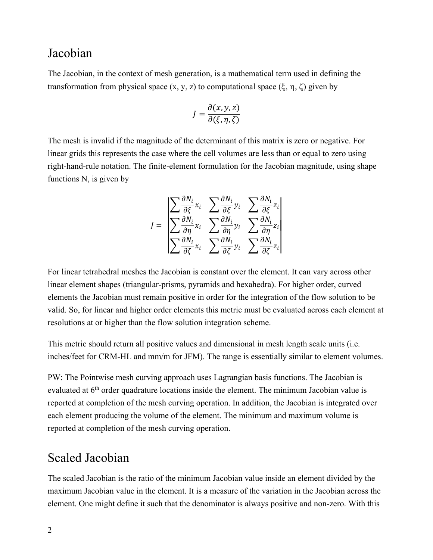#### Jacobian

The Jacobian, in the context of mesh generation, is a mathematical term used in defining the transformation from physical space  $(x, y, z)$  to computational space  $(\xi, \eta, \zeta)$  given by

$$
J = \frac{\partial(x, y, z)}{\partial(\xi, \eta, \zeta)}
$$

The mesh is invalid if the magnitude of the determinant of this matrix is zero or negative. For linear grids this represents the case where the cell volumes are less than or equal to zero using right-hand-rule notation. The finite-element formulation for the Jacobian magnitude, using shape functions N, is given by

$$
J = \begin{bmatrix} \sum \frac{\partial N_i}{\partial \xi} x_i & \sum \frac{\partial N_i}{\partial \xi} y_i & \sum \frac{\partial N_i}{\partial \xi} z_i \\ \sum \frac{\partial N_i}{\partial \eta} x_i & \sum \frac{\partial N_i}{\partial \eta} y_i & \sum \frac{\partial N_i}{\partial \eta} z_i \\ \sum \frac{\partial N_i}{\partial \zeta} x_i & \sum \frac{\partial N_i}{\partial \zeta} y_i & \sum \frac{\partial N_i}{\partial \zeta} z_i \end{bmatrix}
$$

For linear tetrahedral meshes the Jacobian is constant over the element. It can vary across other linear element shapes (triangular-prisms, pyramids and hexahedra). For higher order, curved elements the Jacobian must remain positive in order for the integration of the flow solution to be valid. So, for linear and higher order elements this metric must be evaluated across each element at resolutions at or higher than the flow solution integration scheme.

This metric should return all positive values and dimensional in mesh length scale units (i.e. inches/feet for CRM-HL and mm/m for JFM). The range is essentially similar to element volumes.

PW: The Pointwise mesh curving approach uses Lagrangian basis functions. The Jacobian is evaluated at 6<sup>th</sup> order quadrature locations inside the element. The minimum Jacobian value is reported at completion of the mesh curving operation. In addition, the Jacobian is integrated over each element producing the volume of the element. The minimum and maximum volume is reported at completion of the mesh curving operation.

#### Scaled Jacobian

The scaled Jacobian is the ratio of the minimum Jacobian value inside an element divided by the maximum Jacobian value in the element. It is a measure of the variation in the Jacobian across the element. One might define it such that the denominator is always positive and non-zero. With this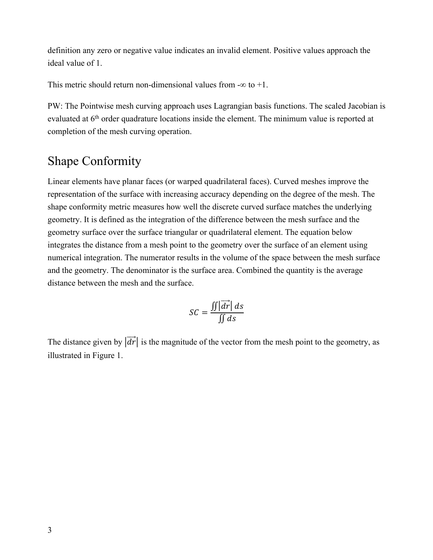definition any zero or negative value indicates an invalid element. Positive values approach the ideal value of 1.

This metric should return non-dimensional values from  $-\infty$  to  $+1$ .

PW: The Pointwise mesh curving approach uses Lagrangian basis functions. The scaled Jacobian is evaluated at  $6<sup>th</sup>$  order quadrature locations inside the element. The minimum value is reported at completion of the mesh curving operation.

### Shape Conformity

Linear elements have planar faces (or warped quadrilateral faces). Curved meshes improve the representation of the surface with increasing accuracy depending on the degree of the mesh. The shape conformity metric measures how well the discrete curved surface matches the underlying geometry. It is defined as the integration of the difference between the mesh surface and the geometry surface over the surface triangular or quadrilateral element. The equation below integrates the distance from a mesh point to the geometry over the surface of an element using numerical integration. The numerator results in the volume of the space between the mesh surface and the geometry. The denominator is the surface area. Combined the quantity is the average distance between the mesh and the surface.

$$
SC = \frac{\iint |\vec{dr}| \, ds}{\iint ds}
$$

The distance given by  $|\vec{dr}|$  is the magnitude of the vector from the mesh point to the geometry, as illustrated in Figure 1.